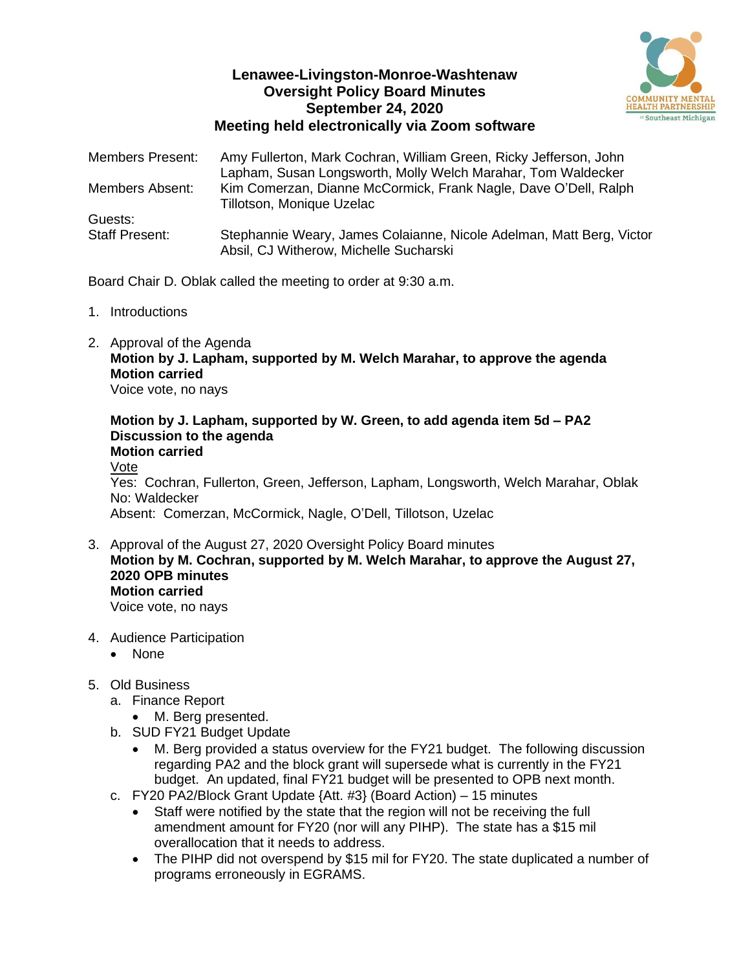## **Lenawee-Livingston-Monroe-Washtenaw Oversight Policy Board Minutes September 24, 2020 Meeting held electronically via Zoom software**



| <b>Members Present:</b> | Amy Fullerton, Mark Cochran, William Green, Ricky Jefferson, John<br>Lapham, Susan Longsworth, Molly Welch Marahar, Tom Waldecker |
|-------------------------|-----------------------------------------------------------------------------------------------------------------------------------|
| Members Absent:         | Kim Comerzan, Dianne McCormick, Frank Nagle, Dave O'Dell, Ralph<br>Tillotson, Monique Uzelac                                      |
| Guests:                 |                                                                                                                                   |
| <b>Staff Present:</b>   | Stephannie Weary, James Colaianne, Nicole Adelman, Matt Berg, Victor<br>Absil, CJ Witherow, Michelle Sucharski                    |

Board Chair D. Oblak called the meeting to order at 9:30 a.m.

- 1. Introductions
- 2. Approval of the Agenda **Motion by J. Lapham, supported by M. Welch Marahar, to approve the agenda Motion carried** Voice vote, no nays

**Motion by J. Lapham, supported by W. Green, to add agenda item 5d – PA2 Discussion to the agenda Motion carried** Vote Yes: Cochran, Fullerton, Green, Jefferson, Lapham, Longsworth, Welch Marahar, Oblak No: Waldecker Absent: Comerzan, McCormick, Nagle, O'Dell, Tillotson, Uzelac

- 3. Approval of the August 27, 2020 Oversight Policy Board minutes **Motion by M. Cochran, supported by M. Welch Marahar, to approve the August 27, 2020 OPB minutes Motion carried** Voice vote, no nays
- 4. Audience Participation
	- None
- 5. Old Business
	- a. Finance Report
		- M. Berg presented.
	- b. SUD FY21 Budget Update
		- M. Berg provided a status overview for the FY21 budget. The following discussion regarding PA2 and the block grant will supersede what is currently in the FY21 budget. An updated, final FY21 budget will be presented to OPB next month.
	- c. FY20 PA2/Block Grant Update {Att. #3} (Board Action) 15 minutes
		- Staff were notified by the state that the region will not be receiving the full amendment amount for FY20 (nor will any PIHP). The state has a \$15 mil overallocation that it needs to address.
		- The PIHP did not overspend by \$15 mil for FY20. The state duplicated a number of programs erroneously in EGRAMS.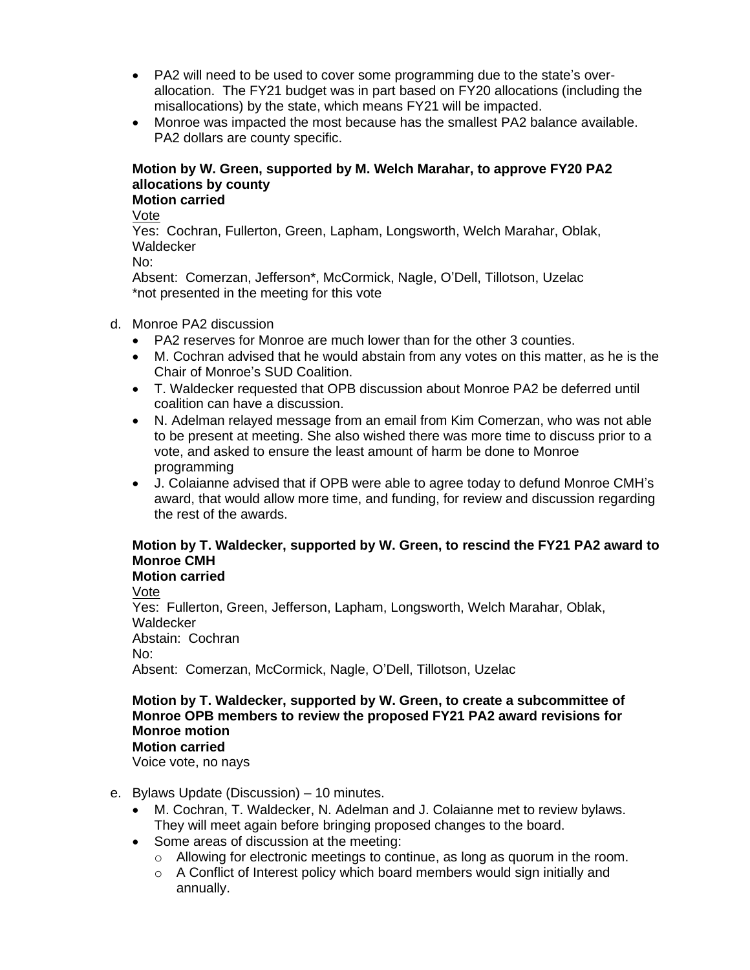- PA2 will need to be used to cover some programming due to the state's overallocation. The FY21 budget was in part based on FY20 allocations (including the misallocations) by the state, which means FY21 will be impacted.
- Monroe was impacted the most because has the smallest PA2 balance available. PA2 dollars are county specific.

## **Motion by W. Green, supported by M. Welch Marahar, to approve FY20 PA2 allocations by county**

# **Motion carried**

Vote

Yes: Cochran, Fullerton, Green, Lapham, Longsworth, Welch Marahar, Oblak, **Waldecker** 

No:

Absent: Comerzan, Jefferson\*, McCormick, Nagle, O'Dell, Tillotson, Uzelac \*not presented in the meeting for this vote

#### d. Monroe PA2 discussion

- PA2 reserves for Monroe are much lower than for the other 3 counties.
- M. Cochran advised that he would abstain from any votes on this matter, as he is the Chair of Monroe's SUD Coalition.
- T. Waldecker requested that OPB discussion about Monroe PA2 be deferred until coalition can have a discussion.
- N. Adelman relayed message from an email from Kim Comerzan, who was not able to be present at meeting. She also wished there was more time to discuss prior to a vote, and asked to ensure the least amount of harm be done to Monroe programming
- J. Colaianne advised that if OPB were able to agree today to defund Monroe CMH's award, that would allow more time, and funding, for review and discussion regarding the rest of the awards.

## **Motion by T. Waldecker, supported by W. Green, to rescind the FY21 PA2 award to Monroe CMH**

**Motion carried**

Vote Yes: Fullerton, Green, Jefferson, Lapham, Longsworth, Welch Marahar, Oblak, **Waldecker** Abstain: Cochran No: Absent: Comerzan, McCormick, Nagle, O'Dell, Tillotson, Uzelac

#### **Motion by T. Waldecker, supported by W. Green, to create a subcommittee of Monroe OPB members to review the proposed FY21 PA2 award revisions for Monroe motion Motion carried**

Voice vote, no nays

- e. Bylaws Update (Discussion) 10 minutes.
	- M. Cochran, T. Waldecker, N. Adelman and J. Colaianne met to review bylaws. They will meet again before bringing proposed changes to the board.
	- Some areas of discussion at the meeting:
		- $\circ$  Allowing for electronic meetings to continue, as long as quorum in the room.
		- o A Conflict of Interest policy which board members would sign initially and annually.